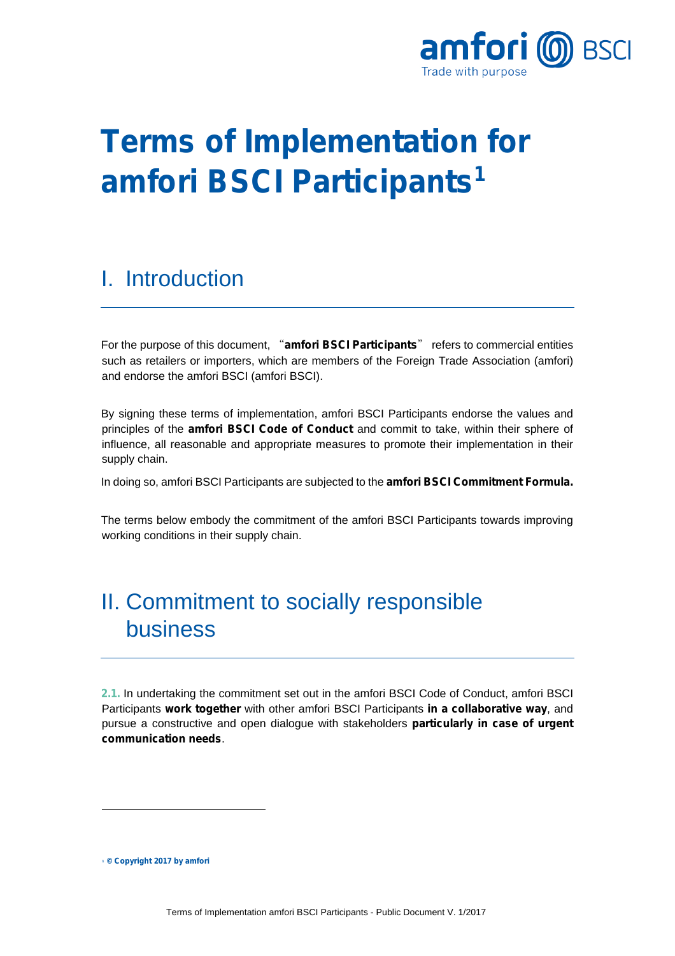

# **Terms of Implementation for amfori BSCI Participants[1](#page-0-0)**

#### I. Introduction

For the purpose of this document, "**amfori BSCI Participants**" refers to commercial entities such as retailers or importers, which are members of the Foreign Trade Association (amfori) and endorse the amfori BSCI (amfori BSCI).

By signing these terms of implementation, amfori BSCI Participants endorse the values and principles of the **amfori BSCI Code of Conduct** and commit to take, within their sphere of influence, all reasonable and appropriate measures to promote their implementation in their supply chain.

In doing so, amfori BSCI Participants are subjected to the **amfori BSCI Commitment Formula.**

The terms below embody the commitment of the amfori BSCI Participants towards improving working conditions in their supply chain.

### II. Commitment to socially responsible business

**2.1.** In undertaking the commitment set out in the amfori BSCI Code of Conduct, amfori BSCI Participants **work together** with other amfori BSCI Participants **in a collaborative way**, and pursue a constructive and open dialogue with stakeholders **particularly in case of urgent communication needs**.

<span id="page-0-0"></span>**<sup>1</sup> © Copyright 2017 by amfori**

j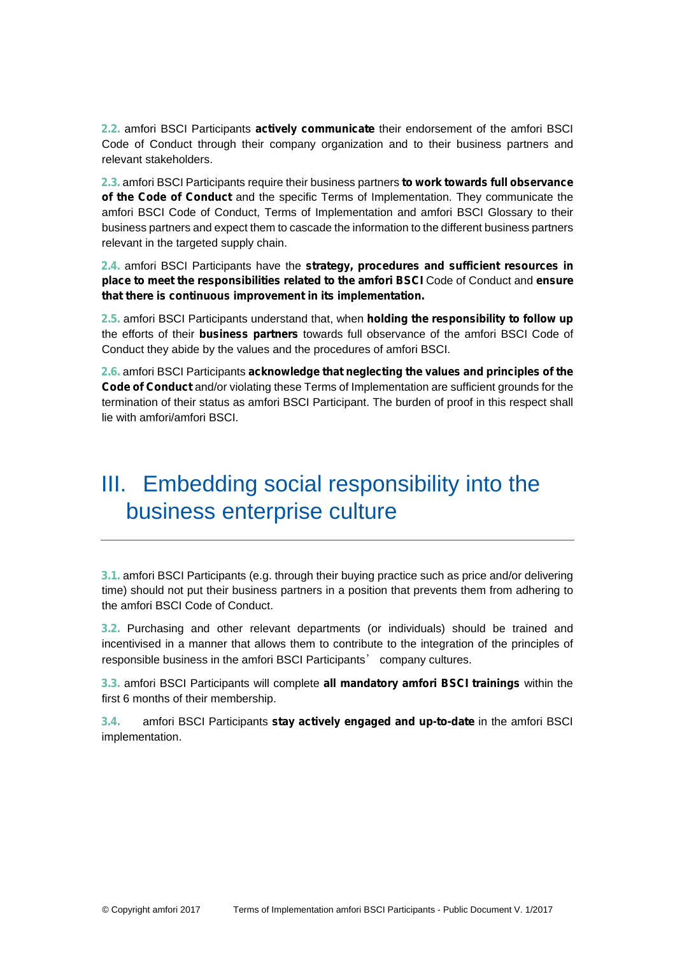**2.2.** amfori BSCI Participants **actively communicate** their endorsement of the amfori BSCI Code of Conduct through their company organization and to their business partners and relevant stakeholders.

**2.3.** amfori BSCI Participants require their business partners **to work towards full observance of the Code of Conduct** and the specific Terms of Implementation. They communicate the amfori BSCI Code of Conduct, Terms of Implementation and amfori BSCI Glossary to their business partners and expect them to cascade the information to the different business partners relevant in the targeted supply chain.

**2.4.** amfori BSCI Participants have the **strategy, procedures and sufficient resources in place to meet the responsibilities related to the amfori BSCI** Code of Conduct and **ensure that there is continuous improvement in its implementation.** 

**2.5.** amfori BSCI Participants understand that, when **holding the responsibility to follow up** the efforts of their **business partners** towards full observance of the amfori BSCI Code of Conduct they abide by the values and the procedures of amfori BSCI.

**2.6.** amfori BSCI Participants **acknowledge that neglecting the values and principles of the Code of Conduct** and/or violating these Terms of Implementation are sufficient grounds for the termination of their status as amfori BSCI Participant. The burden of proof in this respect shall lie with amfori/amfori BSCI.

## III. Embedding social responsibility into the business enterprise culture

**3.1.** amfori BSCI Participants (e.g. through their buying practice such as price and/or delivering time) should not put their business partners in a position that prevents them from adhering to the amfori BSCI Code of Conduct.

**3.2.** Purchasing and other relevant departments (or individuals) should be trained and incentivised in a manner that allows them to contribute to the integration of the principles of responsible business in the amfori BSCI Participants' company cultures.

**3.3.** amfori BSCI Participants will complete **all mandatory amfori BSCI trainings** within the first 6 months of their membership.

**3.4.** amfori BSCI Participants **stay actively engaged and up-to-date** in the amfori BSCI implementation.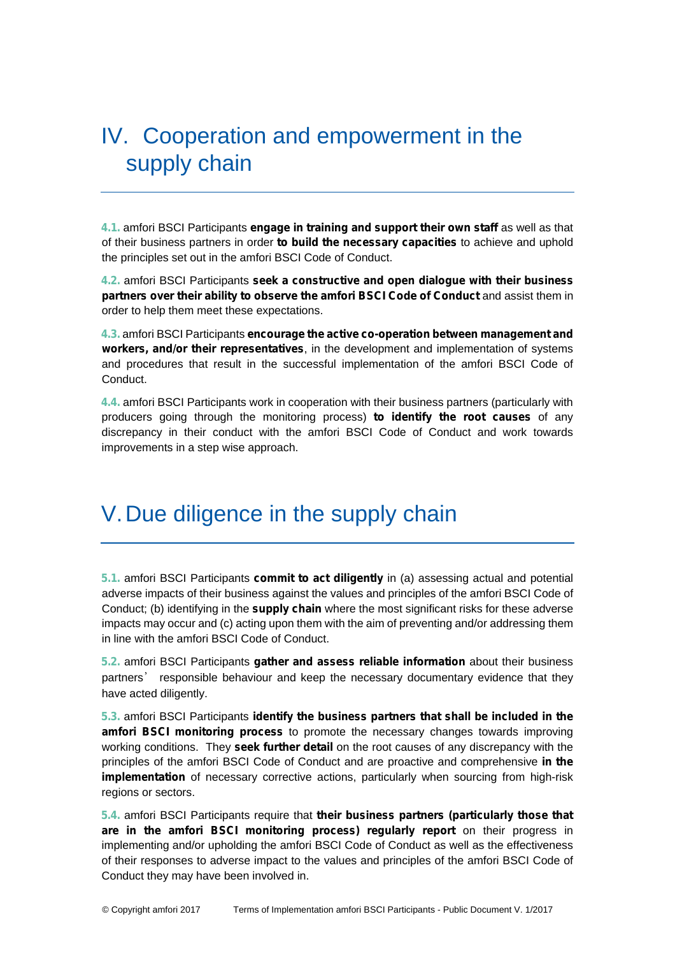## IV. Cooperation and empowerment in the supply chain

**4.1.** amfori BSCI Participants **engage in training and support their own staff** as well as that of their business partners in order **to build the necessary capacities** to achieve and uphold the principles set out in the amfori BSCI Code of Conduct.

**4.2.** amfori BSCI Participants **seek a constructive and open dialogue with their business partners over their ability to observe the amfori BSCI Code of Conduct** and assist them in order to help them meet these expectations.

**4.3.** amfori BSCI Participants **encourage the active co-operation between management and workers, and/or their representatives**, in the development and implementation of systems and procedures that result in the successful implementation of the amfori BSCI Code of Conduct.

**4.4.** amfori BSCI Participants work in cooperation with their business partners (particularly with producers going through the monitoring process) **to identify the root causes** of any discrepancy in their conduct with the amfori BSCI Code of Conduct and work towards improvements in a step wise approach.

#### V.Due diligence in the supply chain

**5.1.** amfori BSCI Participants **commit to act diligently** in (a) assessing actual and potential adverse impacts of their business against the values and principles of the amfori BSCI Code of Conduct; (b) identifying in the **supply chain** where the most significant risks for these adverse impacts may occur and (c) acting upon them with the aim of preventing and/or addressing them in line with the amfori BSCI Code of Conduct.

**5.2.** amfori BSCI Participants **gather and assess reliable information** about their business partners' responsible behaviour and keep the necessary documentary evidence that they have acted diligently.

**5.3.** amfori BSCI Participants **identify the business partners that shall be included in the amfori BSCI monitoring process** to promote the necessary changes towards improving working conditions. They **seek further detail** on the root causes of any discrepancy with the principles of the amfori BSCI Code of Conduct and are proactive and comprehensive **in the implementation** of necessary corrective actions, particularly when sourcing from high-risk regions or sectors.

**5.4.** amfori BSCI Participants require that **their business partners (particularly those that are in the amfori BSCI monitoring process) regularly report** on their progress in implementing and/or upholding the amfori BSCI Code of Conduct as well as the effectiveness of their responses to adverse impact to the values and principles of the amfori BSCI Code of Conduct they may have been involved in.